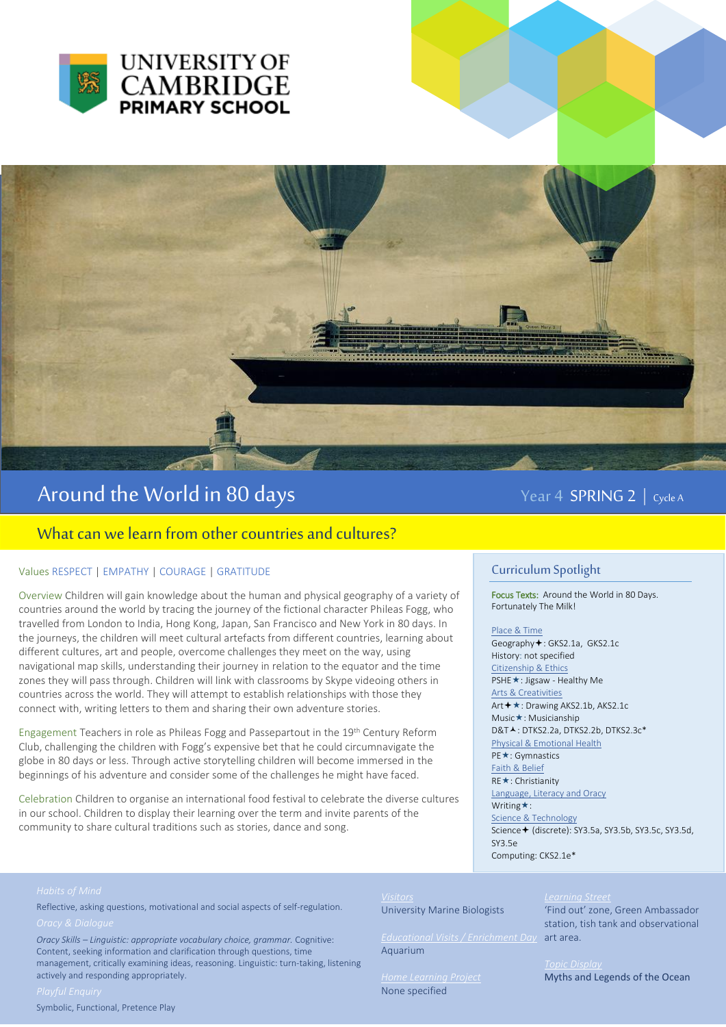



# Around the World in 80 days The Manuscript of the Year 4 SPRING 2 | Cycle A

# What can we learn from other countries and cultures?

### Values RESPECT | EMPATHY | COURAGE | GRATITUDE

Overview Children will gain knowledge about the human and physical geography of a variety of countries around the world by tracing the journey of the fictional character Phileas Fogg, who travelled from London to India, Hong Kong, Japan, San Francisco and New York in 80 days. In the journeys, the children will meet cultural artefacts from different countries, learning about different cultures, art and people, overcome challenges they meet on the way, using navigational map skills, understanding their journey in relation to the equator and the time zones they will pass through. Children will link with classrooms by Skype videoing others in countries across the world. They will attempt to establish relationships with those they connect with, writing letters to them and sharing their own adventure stories.

Engagement Teachers in role as Phileas Fogg and Passepartout in the 19th Century Reform Club, challenging the children with Fogg's expensive bet that he could circumnavigate the globe in 80 days or less. Through active storytelling children will become immersed in the beginnings of his adventure and consider some of the challenges he might have faced.

Celebration Children to organise an international food festival to celebrate the diverse cultures in our school. Children to display their learning over the term and invite parents of the community to share cultural traditions such as stories, dance and song.

# Curriculum Spotlight

Focus Texts: Around the World in 80 Days. Fortunately The Milk!

#### Place & Time

Geography<sup>+</sup>: GKS2.1a, GKS2.1c History: not specified Citizenship & Ethics PSHE **★**: Jigsaw - Healthy Me Arts & Creativities Art **+ ★**: Drawing AKS2.1b, AKS2.1c Music**\***: Musicianship  $DRTA \cdot DTKS2$  2a, DTKS2.2b, DTKS2.3c\* Physical & Emotional Health PE **★**: Gymnastics Faith & Belief RE ★: Christianity Language, Literacy and Oracy Writing  $\star$ : Science & Technology Science + (discrete): SY3.5a, SY3.5b, SY3.5c, SY3.5d, SY3.5e Computing: CKS2.1e\*

Reflective, asking questions, motivational and social aspects of self-regulation.

*Oracy Skills – Linguistic: appropriate vocabulary choice, grammar.* Cognitive: Content, seeking information and clarification through questions, time management, critically examining ideas, reasoning. Linguistic: turn-taking, listening actively and responding appropriately.

Symbolic, Functional, Pretence Play

# *Visitors*

University Marine Biologists

*Educational Visits / Enrichment Day*  art area. Aquarium

None specified

### *Learning Street*

'Find out' zone, Green Ambassador station, tish tank and observational

Myths and Legends of the Ocean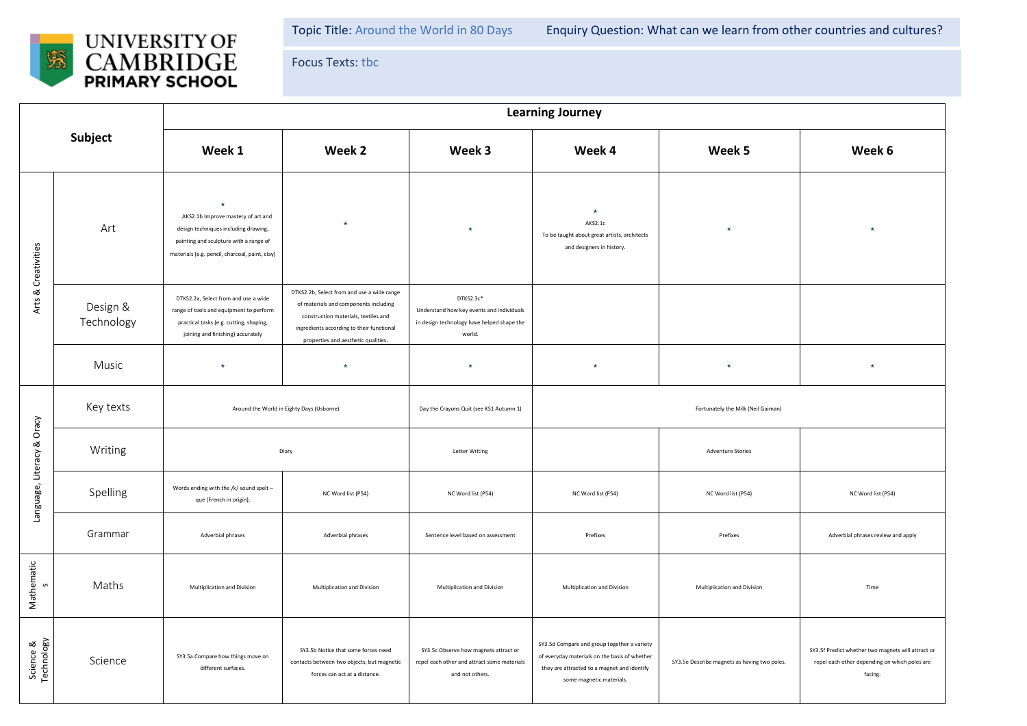

Focus Texts: tbc

| Subject                    |                        | <b>Learning Journey</b>                                                                                                                                                           |                                                                                                                                                                                                                 |                                                                                                                |                                                                                                                                                                         |                                              |                                                                                                                |  |  |
|----------------------------|------------------------|-----------------------------------------------------------------------------------------------------------------------------------------------------------------------------------|-----------------------------------------------------------------------------------------------------------------------------------------------------------------------------------------------------------------|----------------------------------------------------------------------------------------------------------------|-------------------------------------------------------------------------------------------------------------------------------------------------------------------------|----------------------------------------------|----------------------------------------------------------------------------------------------------------------|--|--|
|                            |                        | Week 1                                                                                                                                                                            | Week 2                                                                                                                                                                                                          | Week 3                                                                                                         | Week 4                                                                                                                                                                  | Week 5                                       | Week 6                                                                                                         |  |  |
| Arts & Creativities        | Art                    | $\star$<br>AKS2.1b Improve mastery of art and<br>design techniques including drawing,<br>painting and sculpture with a range of<br>materials (e.g. pencil, charcoal, paint, clay) | $\star$                                                                                                                                                                                                         | $\star$                                                                                                        | $\star$<br>AKS2.1c<br>To be taught about great artists, architects<br>and designers in history.                                                                         | $\star$                                      | $\star$                                                                                                        |  |  |
|                            | Design &<br>Technology | DTKS2.2a, Select from and use a wide<br>range of tools and equipment to perform<br>practical tasks (e.g. cutting, shaping,<br>joining and finishing) accurately                   | DTKS2.2b, Select from and use a wide range<br>of materials and components including<br>construction materials, textiles and<br>ingredients according to their functional<br>properties and aesthetic qualities. | DTKS2.3c*<br>Understand how key events and individuals<br>in design technology have helped shape the<br>world. |                                                                                                                                                                         |                                              |                                                                                                                |  |  |
|                            | Music                  | $\star$                                                                                                                                                                           | $\star$                                                                                                                                                                                                         | $\star$                                                                                                        | $\star$                                                                                                                                                                 | $\star$                                      | $\star$                                                                                                        |  |  |
| Language, Literacy & Oracy | Key texts              | Around the World in Eighty Days (Usborne)                                                                                                                                         |                                                                                                                                                                                                                 | Day the Crayons Quit (see KS1 Autumn 1)                                                                        | Fortunately the Milk (Neil Gaiman)                                                                                                                                      |                                              |                                                                                                                |  |  |
|                            | Writing                | Diary                                                                                                                                                                             |                                                                                                                                                                                                                 | <b>Letter Writing</b>                                                                                          | <b>Adventure Stories</b>                                                                                                                                                |                                              |                                                                                                                |  |  |
|                            | Spelling               | Words ending with the /k/ sound spelt -<br>que (French in origin).                                                                                                                | NC Word list (P54)                                                                                                                                                                                              | NC Word list (P54)                                                                                             | NC Word list (P54)                                                                                                                                                      | NC Word list (P54)                           | NC Word list (P54)                                                                                             |  |  |
|                            | Grammar                | Adverbial phrases                                                                                                                                                                 | Adverbial phrases                                                                                                                                                                                               | Sentence level based on assessment                                                                             | Prefixes                                                                                                                                                                | Prefixes                                     | Adverbial phrases review and apply                                                                             |  |  |
| Mathematic<br>S            | Maths                  | Multiplication and Division                                                                                                                                                       | Multiplication and Division                                                                                                                                                                                     | Multiplication and Division                                                                                    | Multiplication and Division                                                                                                                                             | Multiplication and Division                  | Time                                                                                                           |  |  |
| Science &<br>Technology    | Science                | SY3.5a Compare how things move on<br>different surfaces.                                                                                                                          | SY3.5b Notice that some forces need<br>contacts between two objects, but magnetic<br>forces can act at a distance.                                                                                              | SY3.5c Observe how magnets attract or<br>repel each other and attract some materials<br>and not others.        | SY3.5d Compare and group together a variety<br>of everyday materials on the basis of whether<br>they are attracted to a magnet and identify<br>some magnetic materials. | SY3.5e Describe magnets as having two poles. | SY3.5f Predict whether two magnets will attract or<br>repel each other depending on which poles are<br>facing. |  |  |